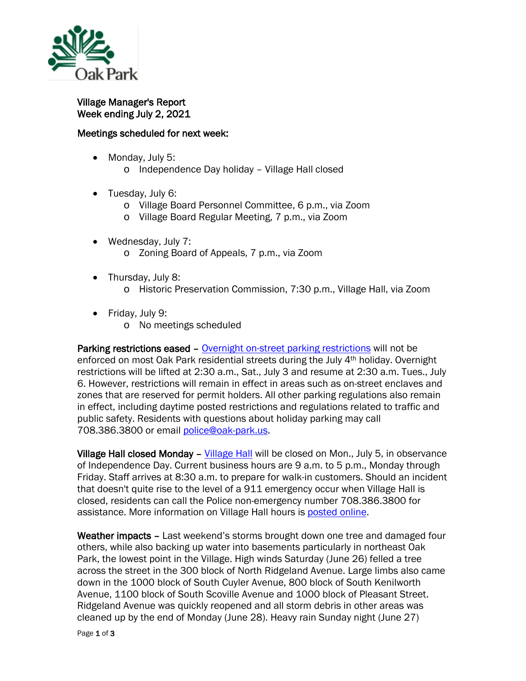

Village Manager's Report Week ending July 2, 2021

## Meetings scheduled for next week:

- Monday, July 5:
	- o Independence Day holiday Village Hall closed
- Tuesday, July 6:
	- o Village Board Personnel Committee, 6 p.m., via Zoom
	- o Village Board Regular Meeting, 7 p.m., via Zoom
- Wednesday, July 7: o Zoning Board of Appeals, 7 p.m., via Zoom
- Thursday, July 8:
	- o Historic Preservation Commission, 7:30 p.m., Village Hall, via Zoom
- Friday, July 9:
	- o No meetings scheduled

Parking restrictions eased – [Overnight on-street parking restrictions](http://www.oak-park.us/village-services/parking/parking-guidelines-restrictions) will not be enforced on most Oak Park residential streets during the July 4th holiday. Overnight restrictions will be lifted at 2:30 a.m., Sat., July 3 and resume at 2:30 a.m. Tues., July 6. However, restrictions will remain in effect in areas such as on-street enclaves and zones that are reserved for permit holders. All other parking regulations also remain in effect, including daytime posted restrictions and regulations related to traffic and public safety. Residents with questions about holiday parking may call 708.386.3800 or email [police@oak-park.us.](mailto:police@oak-park.us?subject=July%204th%20Parking%20Restrictions)

Village Hall closed Monday – [Village Hall](http://www.oak-park.us/your-government/village-manager/village-hall) will be closed on Mon., July 5, in observance of Independence Day. Current business hours are 9 a.m. to 5 p.m., Monday through Friday. Staff arrives at 8:30 a.m. to prepare for walk-in customers. Should an incident that doesn't quite rise to the level of a 911 emergency occur when Village Hall is closed, residents can call the Police non-emergency number 708.386.3800 for assistance. More information on Village Hall hours is [posted online.](http://www.oak-park.us/your-government/village-manager/village-hall)

Weather impacts - Last weekend's storms brought down one tree and damaged four others, while also backing up water into basements particularly in northeast Oak Park, the lowest point in the Village. High winds Saturday (June 26) felled a tree across the street in the 300 block of North Ridgeland Avenue. Large limbs also came down in the 1000 block of South Cuyler Avenue, 800 block of South Kenilworth Avenue, 1100 block of South Scoville Avenue and 1000 block of Pleasant Street. Ridgeland Avenue was quickly reopened and all storm debris in other areas was cleaned up by the end of Monday (June 28). Heavy rain Sunday night (June 27)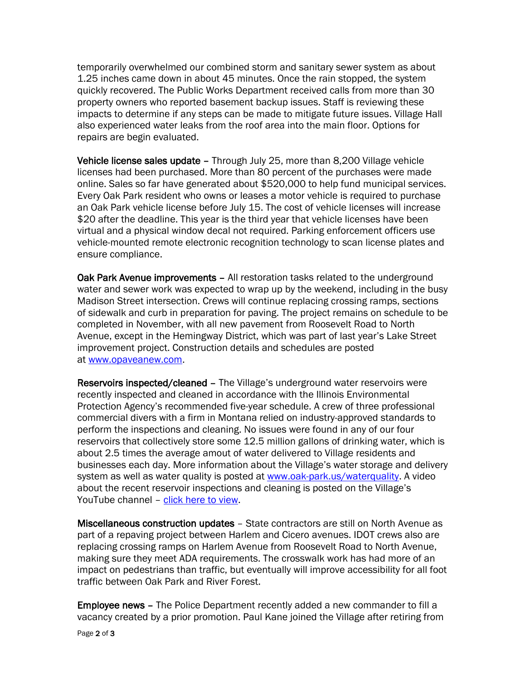temporarily overwhelmed our combined storm and sanitary sewer system as about 1.25 inches came down in about 45 minutes. Once the rain stopped, the system quickly recovered. The Public Works Department received calls from more than 30 property owners who reported basement backup issues. Staff is reviewing these impacts to determine if any steps can be made to mitigate future issues. Village Hall also experienced water leaks from the roof area into the main floor. Options for repairs are begin evaluated.

Vehicle license sales update - Through July 25, more than 8,200 Village vehicle licenses had been purchased. More than 80 percent of the purchases were made online. Sales so far have generated about \$520,000 to help fund municipal services. Every Oak Park resident who owns or leases a motor vehicle is required to purchase an Oak Park vehicle license before July 15. The cost of vehicle licenses will increase \$20 after the deadline. This year is the third year that vehicle licenses have been virtual and a physical window decal not required. Parking enforcement officers use vehicle-mounted remote electronic recognition technology to scan license plates and ensure compliance.

Oak Park Avenue improvements – All restoration tasks related to the underground water and sewer work was expected to wrap up by the weekend, including in the busy Madison Street intersection. Crews will continue replacing crossing ramps, sections of sidewalk and curb in preparation for paving. The project remains on schedule to be completed in November, with all new pavement from Roosevelt Road to North Avenue, except in the Hemingway District, which was part of last year's Lake Street improvement project. Construction details and schedules are posted at [www.opaveanew.com.](http://www.opaveanew.com/)

Reservoirs inspected/cleaned – The Village's underground water reservoirs were recently inspected and cleaned in accordance with the Illinois Environmental Protection Agency's recommended five-year schedule. A crew of three professional commercial divers with a firm in Montana relied on industry-approved standards to perform the inspections and cleaning. No issues were found in any of our four reservoirs that collectively store some 12.5 million gallons of drinking water, which is about 2.5 times the average amout of water delivered to Village residents and businesses each day. More information about the Village's water storage and delivery system as well as water quality is posted at [www.oak-park.us/waterquality.](http://www.oak-park.us/waterquality) A video about the recent reservoir inspections and cleaning is posted on the Village's YouTube channel - [click here to view.](https://youtu.be/1eRWXQ1n91w)

Miscellaneous construction updates – State contractors are still on North Avenue as part of a repaving project between Harlem and Cicero avenues. IDOT crews also are replacing crossing ramps on Harlem Avenue from Roosevelt Road to North Avenue, making sure they meet ADA requirements. The crosswalk work has had more of an impact on pedestrians than traffic, but eventually will improve accessibility for all foot traffic between Oak Park and River Forest.

Employee news – The Police Department recently added a new commander to fill a vacancy created by a prior promotion. Paul Kane joined the Village after retiring from